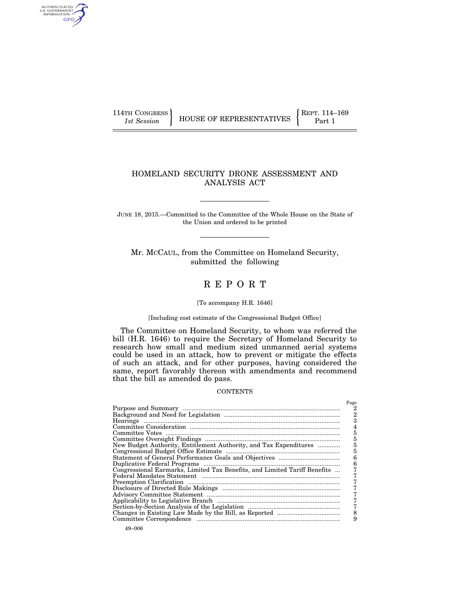AUTHENTICATED<br>U.S. GOVERNMENT<br>INFORMATION GPO

# HOMELAND SECURITY DRONE ASSESSMENT AND ANALYSIS ACT

JUNE 18, 2015.—Committed to the Committee of the Whole House on the State of the Union and ordered to be printed

Mr. MCCAUL, from the Committee on Homeland Security, submitted the following

# R E P O R T

# [To accompany H.R. 1646]

#### [Including cost estimate of the Congressional Budget Office]

The Committee on Homeland Security, to whom was referred the bill (H.R. 1646) to require the Secretary of Homeland Security to research how small and medium sized unmanned aerial systems could be used in an attack, how to prevent or mitigate the effects of such an attack, and for other purposes, having considered the same, report favorably thereon with amendments and recommend that the bill as amended do pass.

#### **CONTENTS**

|                                                                           | Page |
|---------------------------------------------------------------------------|------|
|                                                                           |      |
|                                                                           | 2    |
|                                                                           | з    |
|                                                                           |      |
|                                                                           | 5    |
|                                                                           | 5    |
| New Budget Authority, Entitlement Authority, and Tax Expenditures         | 5    |
|                                                                           | 5    |
|                                                                           | 6    |
|                                                                           | 6    |
| Congressional Earmarks, Limited Tax Benefits, and Limited Tariff Benefits |      |
|                                                                           |      |
|                                                                           |      |
|                                                                           |      |
|                                                                           |      |
|                                                                           |      |
|                                                                           |      |
|                                                                           | 8    |
|                                                                           | 9    |
|                                                                           |      |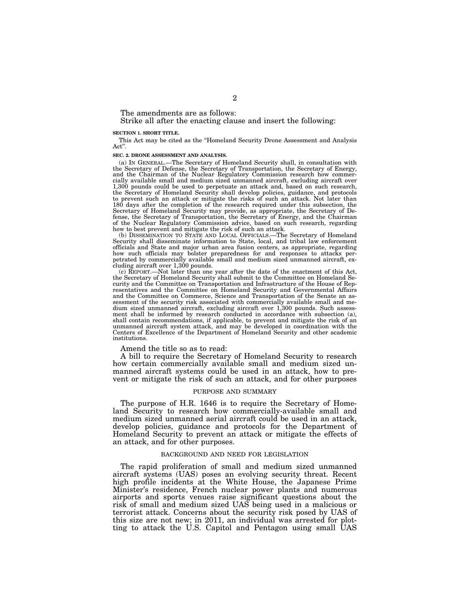The amendments are as follows:

Strike all after the enacting clause and insert the following:

#### **SECTION 1. SHORT TITLE.**

This Act may be cited as the ''Homeland Security Drone Assessment and Analysis Act''.

#### **SEC. 2. DRONE ASSESSMENT AND ANALYSIS.**

(a) IN GENERAL.—The Secretary of Homeland Security shall, in consultation with the Secretary of Defense, the Secretary of Transportation, the Secretary of Energy, and the Chairman of the Nuclear Regulatory Commission research how commercially available small and medium sized unmanned aircraft, excluding aircraft over 1,300 pounds could be used to perpetuate an attack and, based on such research, the Secretary of Homeland Security shall develop policies, guidance, and protocols to prevent such an attack or mitigate the risks of such an attack. Not later than 180 days after the completion of the research required under this subsection, the Secretary of Homeland Security may provide, as appropriate, the Secretary of Defense, the Secretary of Transportation, the Secretary of Ener of the Nuclear Regulatory Commission advice, based on such research, regarding how to best prevent and mitigate the risk of such an attack.

(b) DISSEMINATION TO STATE AND LOCAL OFFICIALS.—The Secretary of Homeland Security shall disseminate information to State, local, and tribal law enforcement officials and State and major urban area fusion centers, as appropriate, regarding how such officials may bolster preparedness for and responses to attacks perpetrated by commercially available small and medium sized unmanned aircraft, excluding aircraft over 1,300 pounds.

(c) REPORT.—Not later than one year after the date of the enactment of this Act, the Secretary of Homeland Security shall submit to the Committee on Homeland Security and the Committee on Transportation and Infrastructure of the House of Rep-resentatives and the Committee on Homeland Security and Governmental Affairs and the Committee on Commerce, Science and Transportation of the Senate an assessment of the security risk associated with commercially available small and medium sized unmanned aircraft, excluding aircraft over 1,300 pounds. Such assessment shall be informed by research conducted in accordance with subsection (a), shall contain recommendations, if applicable, to prevent and mitigate the risk of an unmanned aircraft system attack, and may be developed in coordination with the Centers of Excellence of the Department of Homeland Security and other academic institutions.

Amend the title so as to read:

A bill to require the Secretary of Homeland Security to research how certain commercially available small and medium sized unmanned aircraft systems could be used in an attack, how to prevent or mitigate the risk of such an attack, and for other purposes

#### PURPOSE AND SUMMARY

The purpose of H.R. 1646 is to require the Secretary of Homeland Security to research how commercially-available small and medium sized unmanned aerial aircraft could be used in an attack, develop policies, guidance and protocols for the Department of Homeland Security to prevent an attack or mitigate the effects of an attack, and for other purposes.

#### BACKGROUND AND NEED FOR LEGISLATION

The rapid proliferation of small and medium sized unmanned aircraft systems (UAS) poses an evolving security threat. Recent high profile incidents at the White House, the Japanese Prime Minister's residence, French nuclear power plants and numerous airports and sports venues raise significant questions about the risk of small and medium sized UAS being used in a malicious or terrorist attack. Concerns about the security risk posed by UAS of this size are not new; in 2011, an individual was arrested for plotting to attack the U.S. Capitol and Pentagon using small UAS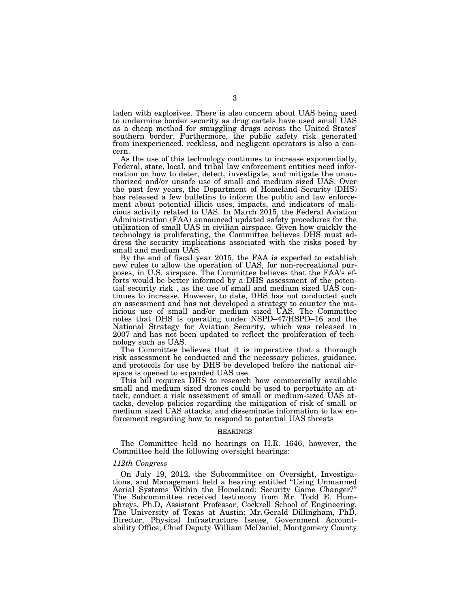laden with explosives. There is also concern about UAS being used to undermine border security as drug cartels have used small UAS as a cheap method for smuggling drugs across the United States' southern border. Furthermore, the public safety risk generated from inexperienced, reckless, and negligent operators is also a concern.

As the use of this technology continues to increase exponentially, Federal, state, local, and tribal law enforcement entities need information on how to deter, detect, investigate, and mitigate the unauthorized and/or unsafe use of small and medium sized UAS. Over the past few years, the Department of Homeland Security (DHS) has released a few bulletins to inform the public and law enforcement about potential illicit uses, impacts, and indicators of malicious activity related to UAS. In March 2015, the Federal Aviation Administration (FAA) announced updated safety procedures for the utilization of small UAS in civilian airspace. Given how quickly the technology is proliferating, the Committee believes DHS must address the security implications associated with the risks posed by small and medium UAS.

By the end of fiscal year 2015, the FAA is expected to establish new rules to allow the operation of UAS, for non-recreational purposes, in U.S. airspace. The Committee believes that the FAA's efforts would be better informed by a DHS assessment of the potential security risk , as the use of small and medium sized UAS continues to increase. However, to date, DHS has not conducted such an assessment and has not developed a strategy to counter the malicious use of small and/or medium sized UAS. The Committee notes that DHS is operating under NSPD–47/HSPD–16 and the National Strategy for Aviation Security, which was released in 2007 and has not been updated to reflect the proliferation of technology such as UAS.

The Committee believes that it is imperative that a thorough risk assessment be conducted and the necessary policies, guidance, and protocols for use by DHS be developed before the national airspace is opened to expanded UAS use.

This bill requires DHS to research how commercially available small and medium sized drones could be used to perpetuate an attack, conduct a risk assessment of small or medium-sized UAS attacks, develop policies regarding the mitigation of risk of small or medium sized UAS attacks, and disseminate information to law enforcement regarding how to respond to potential UAS threats

#### HEARINGS

The Committee held no hearings on H.R. 1646, however, the Committee held the following oversight hearings:

#### *112th Congress*

On July 19, 2012, the Subcommittee on Oversight, Investigations, and Management held a hearing entitled ''Using Unmanned Aerial Systems Within the Homeland: Security Game Changer?'' The Subcommittee received testimony from Mr. Todd E. Humphreys, Ph.D, Assistant Professor, Cockrell School of Engineering, The University of Texas at Austin; Mr. Gerald Dillingham, PhD, Director, Physical Infrastructure Issues, Government Accountability Office; Chief Deputy William McDaniel, Montgomery County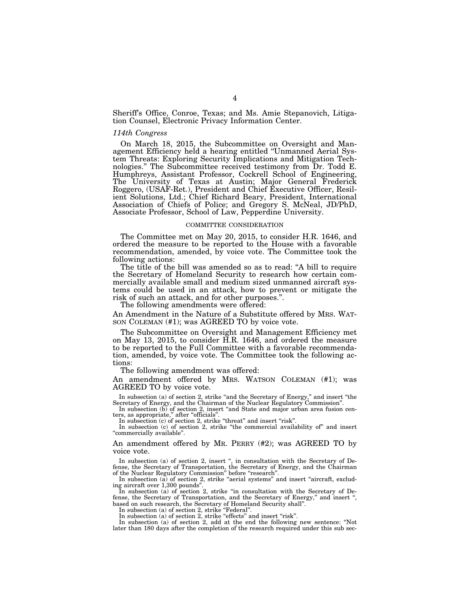Sheriff's Office, Conroe, Texas; and Ms. Amie Stepanovich, Litigation Counsel, Electronic Privacy Information Center.

#### *114th Congress*

On March 18, 2015, the Subcommittee on Oversight and Management Efficiency held a hearing entitled ''Unmanned Aerial System Threats: Exploring Security Implications and Mitigation Technologies.'' The Subcommittee received testimony from Dr. Todd E. Humphreys, Assistant Professor, Cockrell School of Engineering, The University of Texas at Austin; Major General Frederick Roggero, (USAF-Ret.), President and Chief Executive Officer, Resilient Solutions, Ltd.; Chief Richard Beary, President, International Association of Chiefs of Police; and Gregory S. McNeal, JD/PhD, Associate Professor, School of Law, Pepperdine University.

#### COMMITTEE CONSIDERATION

The Committee met on May 20, 2015, to consider H.R. 1646, and ordered the measure to be reported to the House with a favorable recommendation, amended, by voice vote. The Committee took the following actions:

The title of the bill was amended so as to read: "A bill to require the Secretary of Homeland Security to research how certain commercially available small and medium sized unmanned aircraft systems could be used in an attack, how to prevent or mitigate the risk of such an attack, and for other purposes.''.

The following amendments were offered:

An Amendment in the Nature of a Substitute offered by MRS. WAT- SON COLEMAN (#1); was AGREED TO by voice vote.

The Subcommittee on Oversight and Management Efficiency met on May 13, 2015, to consider H.R. 1646, and ordered the measure to be reported to the Full Committee with a favorable recommendation, amended, by voice vote. The Committee took the following actions:

The following amendment was offered:

An amendment offered by MRS. WATSON COLEMAN (#1); was AGREED TO by voice vote.

In subsection (a) of section 2, strike "and the Secretary of Energy," and insert "the Secretary of Energy, and the Chairman of the Nuclear Regulatory Commission".

In subsection (b) of section 2, insert "and State and major urban area fusion centers, as appropriate," after "officials".

In subsection (c) of section 2, strike "threat" and insert "risk".<br>In subsection (c) of section 2, strike "the commercial availability of" and insert ''commercially available''.

An amendment offered by MR. PERRY (#2); was AGREED TO by voice vote.

In subsection (a) of section 2, insert ", in consultation with the Secretary of Defense, the Secretary of Transportation, the Secretary of Energy, and the Chairman of the Nuclear Regulatory Commission'' before ''research''.

In subsection  $(a)$  of section 2, strike "aerial systems" and insert "aircraft, excluding aircraft over 1,300 pounds"

In subsection (a) of section 2, strike "in consultation with the Secretary of Defense, the Secretary of Transportation, and the Secretary of Energy," and insert ' based on such research, the Secretary of Homeland Security shall". In subsection (a) of section 2, strike "Federal".

In subsection (a) of section 2, strike "effects" and insert "risk".

In subsection (a) of section 2, add at the end the following new sentence: ''Not later than 180 days after the completion of the research required under this sub sec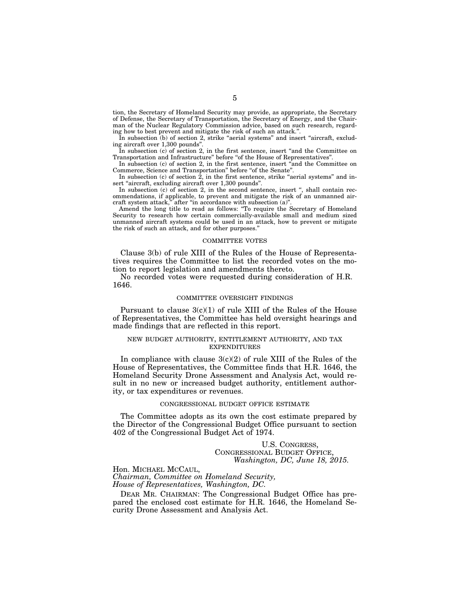tion, the Secretary of Homeland Security may provide, as appropriate, the Secretary of Defense, the Secretary of Transportation, the Secretary of Energy, and the Chairman of the Nuclear Regulatory Commission advice, based on such research, regarding how to best prevent and mitigate the risk of such an attack.''.

In subsection (b) of section 2, strike "aerial systems" and insert "aircraft, excluding aircraft over 1,300 pounds''.

In subsection (c) of section 2, in the first sentence, insert ''and the Committee on Transportation and Infrastructure" before "of the House of Representatives".

In subsection (c) of section 2, in the first sentence, insert "and the Committee on Commerce, Science and Transportation" before "of the Senate".

In subsection (c) of section  $\hat{2}$ , in the first sentence, strike "aerial systems" and insert "aircraft, excluding aircraft over 1,300 pounds".

In subsection (c) of section 2, in the second sentence, insert ", shall contain recommendations, if applicable, to prevent and mitigate the risk of an unmanned aircraft system attack," after "in accordance with subsection (a)".

Amend the long title to read as follows: ''To require the Secretary of Homeland Security to research how certain commercially-available small and medium sized unmanned aircraft systems could be used in an attack, how to prevent or mitigate the risk of such an attack, and for other purposes.''

#### COMMITTEE VOTES

Clause 3(b) of rule XIII of the Rules of the House of Representatives requires the Committee to list the recorded votes on the motion to report legislation and amendments thereto.

No recorded votes were requested during consideration of H.R. 1646.

#### COMMITTEE OVERSIGHT FINDINGS

Pursuant to clause  $3(c)(1)$  of rule XIII of the Rules of the House of Representatives, the Committee has held oversight hearings and made findings that are reflected in this report.

#### NEW BUDGET AUTHORITY, ENTITLEMENT AUTHORITY, AND TAX EXPENDITURES

In compliance with clause  $3(c)(2)$  of rule XIII of the Rules of the House of Representatives, the Committee finds that H.R. 1646, the Homeland Security Drone Assessment and Analysis Act, would result in no new or increased budget authority, entitlement authority, or tax expenditures or revenues.

## CONGRESSIONAL BUDGET OFFICE ESTIMATE

The Committee adopts as its own the cost estimate prepared by the Director of the Congressional Budget Office pursuant to section 402 of the Congressional Budget Act of 1974.

> U.S. CONGRESS, CONGRESSIONAL BUDGET OFFICE, *Washington, DC, June 18, 2015.*

Hon. MICHAEL MCCAUL, *Chairman, Committee on Homeland Security, House of Representatives, Washington, DC.* 

DEAR MR. CHAIRMAN: The Congressional Budget Office has prepared the enclosed cost estimate for H.R. 1646, the Homeland Security Drone Assessment and Analysis Act.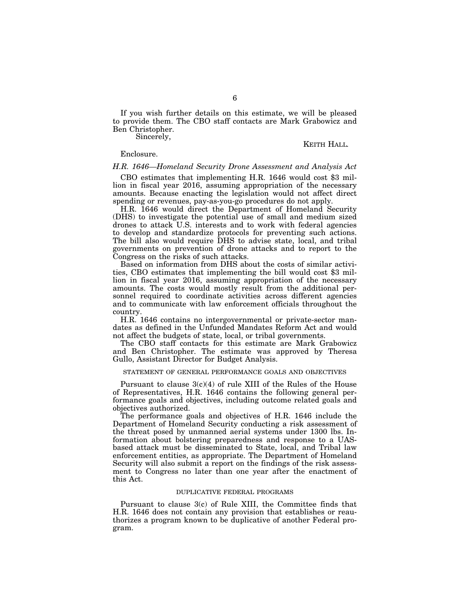If you wish further details on this estimate, we will be pleased to provide them. The CBO staff contacts are Mark Grabowicz and Ben Christopher.

Sincerely,

KEITH HALL*.* 

### Enclosure.

#### *H.R. 1646—Homeland Security Drone Assessment and Analysis Act*

CBO estimates that implementing H.R. 1646 would cost \$3 million in fiscal year 2016, assuming appropriation of the necessary amounts. Because enacting the legislation would not affect direct spending or revenues, pay-as-you-go procedures do not apply.

H.R. 1646 would direct the Department of Homeland Security (DHS) to investigate the potential use of small and medium sized drones to attack U.S. interests and to work with federal agencies to develop and standardize protocols for preventing such actions. The bill also would require DHS to advise state, local, and tribal governments on prevention of drone attacks and to report to the Congress on the risks of such attacks.

Based on information from DHS about the costs of similar activities, CBO estimates that implementing the bill would cost \$3 million in fiscal year 2016, assuming appropriation of the necessary amounts. The costs would mostly result from the additional personnel required to coordinate activities across different agencies and to communicate with law enforcement officials throughout the country.

H.R. 1646 contains no intergovernmental or private-sector mandates as defined in the Unfunded Mandates Reform Act and would not affect the budgets of state, local, or tribal governments.

The CBO staff contacts for this estimate are Mark Grabowicz and Ben Christopher. The estimate was approved by Theresa Gullo, Assistant Director for Budget Analysis.

#### STATEMENT OF GENERAL PERFORMANCE GOALS AND OBJECTIVES

Pursuant to clause 3(c)(4) of rule XIII of the Rules of the House of Representatives, H.R. 1646 contains the following general performance goals and objectives, including outcome related goals and objectives authorized.

The performance goals and objectives of H.R. 1646 include the Department of Homeland Security conducting a risk assessment of the threat posed by unmanned aerial systems under 1300 lbs. Information about bolstering preparedness and response to a UASbased attack must be disseminated to State, local, and Tribal law enforcement entities, as appropriate. The Department of Homeland Security will also submit a report on the findings of the risk assessment to Congress no later than one year after the enactment of this Act.

#### DUPLICATIVE FEDERAL PROGRAMS

Pursuant to clause 3(c) of Rule XIII, the Committee finds that H.R. 1646 does not contain any provision that establishes or reauthorizes a program known to be duplicative of another Federal program.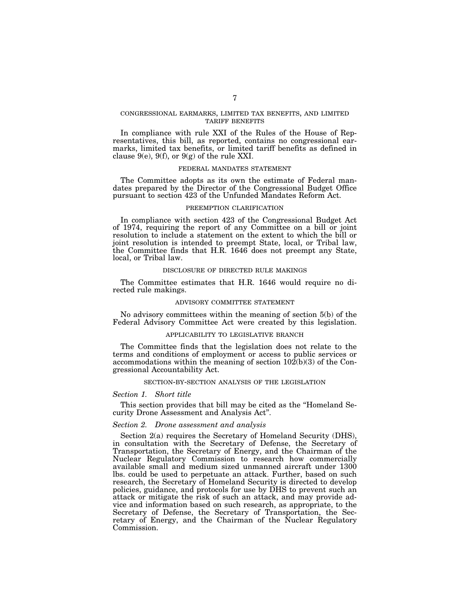### CONGRESSIONAL EARMARKS, LIMITED TAX BENEFITS, AND LIMITED TARIFF BENEFITS

In compliance with rule XXI of the Rules of the House of Representatives, this bill, as reported, contains no congressional earmarks, limited tax benefits, or limited tariff benefits as defined in clause  $9(e)$ ,  $9(f)$ , or  $9(g)$  of the rule XXI.

#### FEDERAL MANDATES STATEMENT

The Committee adopts as its own the estimate of Federal mandates prepared by the Director of the Congressional Budget Office pursuant to section 423 of the Unfunded Mandates Reform Act.

### PREEMPTION CLARIFICATION

In compliance with section 423 of the Congressional Budget Act of 1974, requiring the report of any Committee on a bill or joint resolution to include a statement on the extent to which the bill or joint resolution is intended to preempt State, local, or Tribal law, the Committee finds that H.R. 1646 does not preempt any State, local, or Tribal law.

#### DISCLOSURE OF DIRECTED RULE MAKINGS

The Committee estimates that H.R. 1646 would require no directed rule makings.

#### ADVISORY COMMITTEE STATEMENT

No advisory committees within the meaning of section 5(b) of the Federal Advisory Committee Act were created by this legislation.

#### APPLICABILITY TO LEGISLATIVE BRANCH

The Committee finds that the legislation does not relate to the terms and conditions of employment or access to public services or accommodations within the meaning of section  $10\overline{2}(b)(3)$  of the Congressional Accountability Act.

#### SECTION-BY-SECTION ANALYSIS OF THE LEGISLATION

#### *Section 1. Short title*

This section provides that bill may be cited as the ''Homeland Security Drone Assessment and Analysis Act''.

#### *Section 2. Drone assessment and analysis*

Section 2(a) requires the Secretary of Homeland Security (DHS), in consultation with the Secretary of Defense, the Secretary of Transportation, the Secretary of Energy, and the Chairman of the Nuclear Regulatory Commission to research how commercially available small and medium sized unmanned aircraft under 1300 lbs. could be used to perpetuate an attack. Further, based on such research, the Secretary of Homeland Security is directed to develop policies, guidance, and protocols for use by DHS to prevent such an attack or mitigate the risk of such an attack, and may provide advice and information based on such research, as appropriate, to the Secretary of Defense, the Secretary of Transportation, the Secretary of Energy, and the Chairman of the Nuclear Regulatory Commission.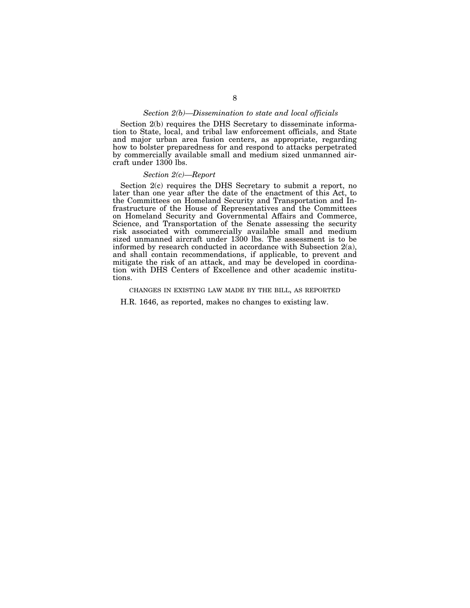#### *Section 2(b)—Dissemination to state and local officials*

Section 2(b) requires the DHS Secretary to disseminate information to State, local, and tribal law enforcement officials, and State and major urban area fusion centers, as appropriate, regarding how to bolster preparedness for and respond to attacks perpetrated by commercially available small and medium sized unmanned aircraft under 1300 lbs.

#### *Section 2(c)—Report*

Section 2(c) requires the DHS Secretary to submit a report, no later than one year after the date of the enactment of this Act, to the Committees on Homeland Security and Transportation and Infrastructure of the House of Representatives and the Committees on Homeland Security and Governmental Affairs and Commerce, Science, and Transportation of the Senate assessing the security risk associated with commercially available small and medium sized unmanned aircraft under 1300 lbs. The assessment is to be informed by research conducted in accordance with Subsection 2(a), and shall contain recommendations, if applicable, to prevent and mitigate the risk of an attack, and may be developed in coordination with DHS Centers of Excellence and other academic institutions.

#### CHANGES IN EXISTING LAW MADE BY THE BILL, AS REPORTED

H.R. 1646, as reported, makes no changes to existing law.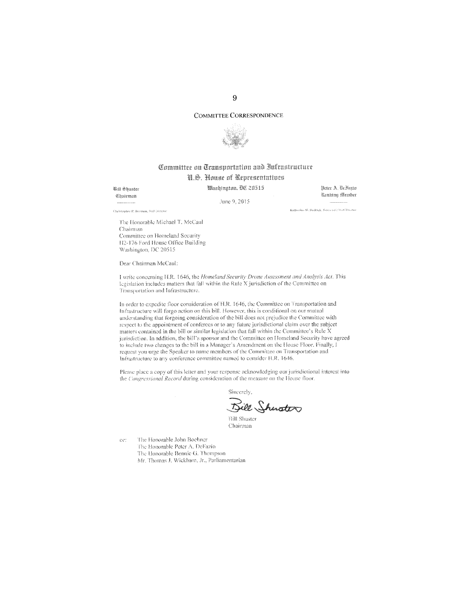#### **COMMITTEE CORRESPONDENCE**



# Committee on Transportation and Infrastructure U.S. Nouse of Representatives

Washinaton, DC 20515

**Will Shuster** Chairman

June 9, 2015

Peter A. DeFazio <u> Canting Member</u>

Chebitopher P. Bertram, Staft Divertor

Katherina W. Bedrick, Domacatic Statt Diverse

The Honorable Michael T. McCaul Chairman Committee on Homeland Security H2-176 Ford House Office Building Washington, DC 20515

Dear Chairman McCaul:

I write concerning H.R. 1646, the Homeland Security Drone Assessment and Analysis Act. This legislation includes matters that fall within the Rule X jurisdiction of the Committee on Transportation and Infrastructure.

In order to expedite floor consideration of H.R. 1646, the Committee on Transportation and Infrastructure will forgo action on this bill. However, this is conditional on our mutual understanding that forgoing consideration of the bill does not prejudice the Committee with respect to the appointment of conferees or to any future jurisdictional claim over the subject matters contained in the bill or similar legislation that fall within the Committee's Rule  $X$ jurisdiction. In addition, the bill's sponsor and the Committee on Homeland Security have agreed to include two changes to the bill in a Manager's Amendment on the House Floor. Finally, I request you urge the Speaker to name members of the Committee on Transportation and Infrastructure to any conference committee named to consider H.R. 1646.

Please place a copy of this letter and your response acknowledging our jurisdictional interest into the Congressional Record during consideration of the measure on the House floor.

Sincerely, Sill Shuster

**Bill Shuster** Chairman

ee: The Honorable John Bochner The Honorable Peter A, DeFazio The Honorable Bennie G. Thompson

Mr. Thomas J. Wickham, Jr., Parliamentarian